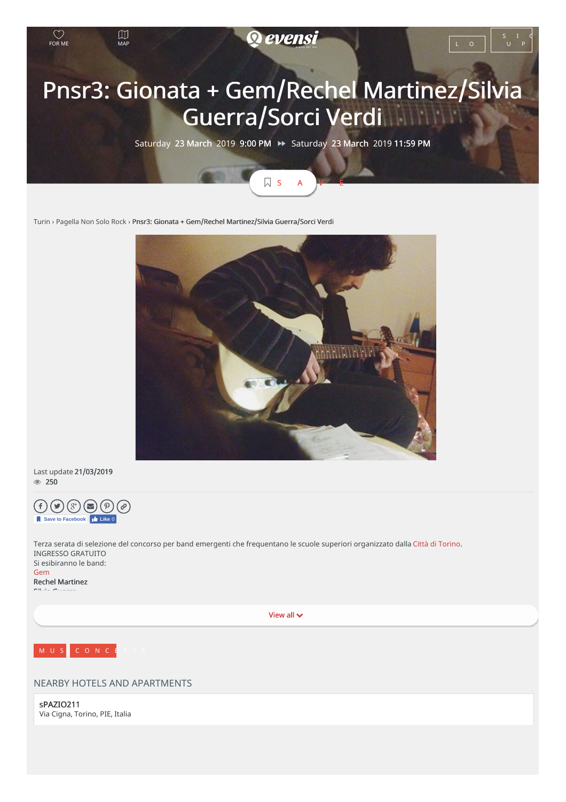

S A V E

[Turin](https://www.evensi.it/piemonte/turin) › [Pagella](https://www.evensi.it/page/pagella-non-solo-rock/10000432564) Non Solo Rock › Pnsr3: Gionata + Gem/Rechel Martinez/Silvia Guerra/Sorci Verdi



Last update 21/03/2019  $\circ$  250



Terza serata di selezione del concorso per band emergenti che frequentano le scuole superiori organizzato dalla Città di [Torino](https://www.facebook.com/cittaditorino/). INGRESSO GRATUITO Si esibiranno le band: [Gem](https://www.facebook.com/gemlaband/)

Rechel Martinez Silvia Guerra

View all



## NEARBY HOTELS AND APARTMENTS

sPAZIO211 Via Cigna, Torino, PIE, Italia